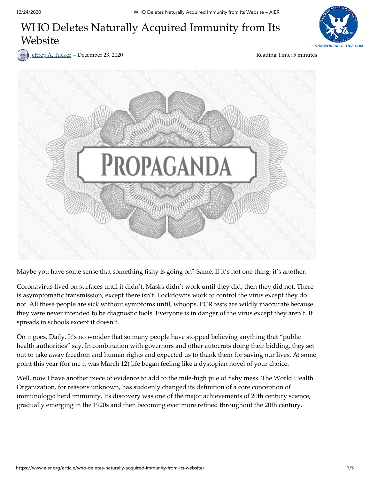# WHO Deletes Naturally Acquired Immunity from Its Website



Jeffrey A. [Tucker](https://www.aier.org/staffs/jeffrey-tucker/) – December 23, 2020 **For a set of the Contract Automobile Seading Time**: 5 minutes



Maybe you have some sense that something fishy is going on? Same. If it's not one thing, it's another.

Coronavirus lived on surfaces until it didn't. Masks didn't work until they did, then they did not. There is asymptomatic transmission, except there isn't. Lockdowns work to control the virus except they do not. All these people are sick without symptoms until, whoops, PCR tests are wildly inaccurate because they were never intended to be diagnostic tools. Everyone is in danger of the virus except they aren't. It spreads in schools except it doesn't.

On it goes. Daily. It's no wonder that so many people have stopped believing anything that "public health authorities" say. In combination with governors and other autocrats doing their bidding, they set out to take away freedom and human rights and expected us to thank them for saving our lives. At some point this year (for me it was March 12) life began feeling like a dystopian novel of your choice.

Well, now I have another piece of evidence to add to the mile-high pile of fishy mess. The World Health Organization, for reasons unknown, has suddenly changed its definition of a core conception of immunology: herd immunity. Its discovery was one of the major achievements of 20th century science, gradually emerging in the 1920s and then becoming ever more refined throughout the 20th century.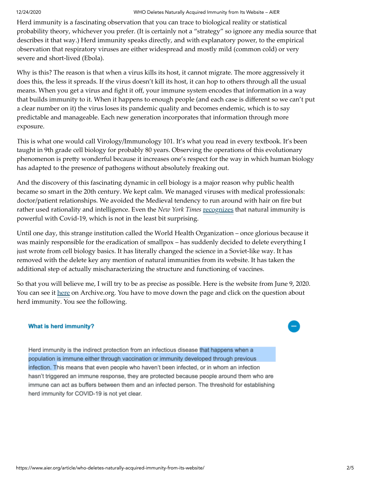Herd immunity is a fascinating observation that you can trace to biological reality or statistical probability theory, whichever you prefer. (It is certainly not a "strategy" so ignore any media source that describes it that way.) Herd immunity speaks directly, and with explanatory power, to the empirical observation that respiratory viruses are either widespread and mostly mild (common cold) or very severe and short-lived (Ebola).

Why is this? The reason is that when a virus kills its host, it cannot migrate. The more aggressively it does this, the less it spreads. If the virus doesn't kill its host, it can hop to others through all the usual means. When you get a virus and fight it off, your immune system encodes that information in a way that builds immunity to it. When it happens to enough people (and each case is different so we can't put a clear number on it) the virus loses its pandemic quality and becomes endemic, which is to say predictable and manageable. Each new generation incorporates that information through more exposure.

This is what one would call Virology/Immunology 101. It's what you read in every textbook. It's been taught in 9th grade cell biology for probably 80 years. Observing the operations of this evolutionary phenomenon is pretty wonderful because it increases one's respect for the way in which human biology has adapted to the presence of pathogens without absolutely freaking out.

And the discovery of this fascinating dynamic in cell biology is a major reason why public health became so smart in the 20th century. We kept calm. We managed viruses with medical professionals: doctor/patient relationships. We avoided the Medieval tendency to run around with hair on fire but rather used rationality and intelligence. Even the *New York Times* [recognizes](https://www.nytimes.com/2020/11/17/health/coronavirus-immunity.html) that natural immunity is powerful with Covid-19, which is not in the least bit surprising.

Until one day, this strange institution called the World Health Organization – once glorious because it was mainly responsible for the eradication of smallpox – has suddenly decided to delete everything I just wrote from cell biology basics. It has literally changed the science in a Soviet-like way. It has removed with the delete key any mention of natural immunities from its website. It has taken the additional step of actually mischaracterizing the structure and functioning of vaccines.

So that you will believe me, I will try to be as precise as possible. Here is the website from June 9, 2020. You can see it [here](https://web.archive.org/web/20201105013101/https://www.who.int/news-room/q-a-detail/coronavirus-disease-covid-19-serology) on Archive.org. You have to move down the page and click on the question about herd immunity. You see the following.

### **What is herd immunity?**

Herd immunity is the indirect protection from an infectious disease that happens when a population is immune either through vaccination or immunity developed through previous infection. This means that even people who haven't been infected, or in whom an infection hasn't triggered an immune response, they are protected because people around them who are immune can act as buffers between them and an infected person. The threshold for establishing herd immunity for COVID-19 is not yet clear.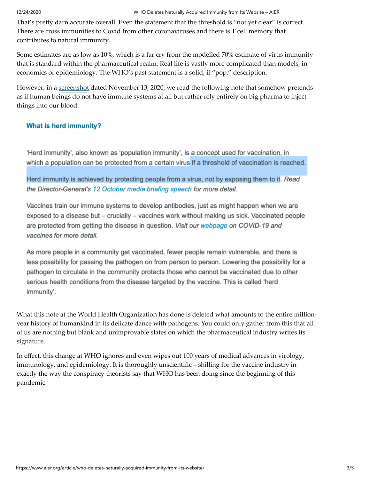That's pretty darn accurate overall. Even the statement that the threshold is "not yet clear" is correct. There are cross immunities to Covid from other coronaviruses and there is T cell memory that contributes to natural immunity.

Some estimates are as low as 10%, which is a far cry from the modelled 70% estimate of virus immunity that is standard within the pharmaceutical realm. Real life is vastly more complicated than models, in economics or epidemiology. The WHO's past statement is a solid, if "pop," description.

However, in a [screenshot](https://web.archive.org/web/20201124094747/https://www.who.int/news-room/q-a-detail/coronavirus-disease-covid-19-serology) dated November 13, 2020, we read the following note that somehow pretends as if human beings do not have immune systems at all but rather rely entirely on big pharma to inject things into our blood.

### **What is herd immunity?**

'Herd immunity', also known as 'population immunity', is a concept used for vaccination, in which a population can be protected from a certain virus if a threshold of vaccination is reached.

Herd immunity is achieved by protecting people from a virus, not by exposing them to it. Read the Director-General's 12 October media briefing speech for more detail.

Vaccines train our immune systems to develop antibodies, just as might happen when we are exposed to a disease but – crucially – vaccines work without making us sick. Vaccinated people are protected from getting the disease in question. Visit our webpage on COVID-19 and vaccines for more detail.

As more people in a community get vaccinated, fewer people remain vulnerable, and there is less possibility for passing the pathogen on from person to person. Lowering the possibility for a pathogen to circulate in the community protects those who cannot be vaccinated due to other serious health conditions from the disease targeted by the vaccine. This is called 'herd immunity'.

What this note at the World Health Organization has done is deleted what amounts to the entire millionyear history of humankind in its delicate dance with pathogens. You could only gather from this that all of us are nothing but blank and unimprovable slates on which the pharmaceutical industry writes its signature.

In effect, this change at WHO ignores and even wipes out 100 years of medical advances in virology, immunology, and epidemiology. It is thoroughly unscientific – shilling for the vaccine industry in exactly the way the conspiracy theorists say that WHO has been doing since the beginning of this pandemic.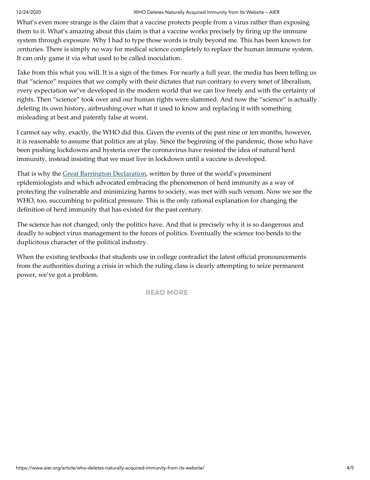What's even more strange is the claim that a vaccine protects people from a virus rather than exposing them to it. What's amazing about this claim is that a vaccine works precisely by firing up the immune system through exposure. Why I had to type those words is truly beyond me. This has been known for centuries. There is simply no way for medical science completely to replace the human immune system. It can only game it via what used to be called inoculation.

Take from this what you will. It is a sign of the times. For nearly a full year, the media has been telling us that "science" requires that we comply with their dictates that run contrary to every tenet of liberalism, every expectation we've developed in the modern world that we can live freely and with the certainty of rights. Then "science" took over and our human rights were slammed. And now the "science" is actually deleting its own history, airbrushing over what it used to know and replacing it with something misleading at best and patently false at worst.

I cannot say why, exactly, the WHO did this. Given the events of the past nine or ten months, however, it is reasonable to assume that politics are at play. Since the beginning of the pandemic, those who have been pushing lockdowns and hysteria over the coronavirus have resisted the idea of natural herd immunity, instead insisting that we must live in lockdown until a vaccine is developed.

That is why the [Great Barrington Declaration,](https://gbdeclaration.org/) written by three of the world's preeminent epidemiologists and which advocated embracing the phenomenon of herd immunity as a way of protecting the vulnerable and minimizing harms to society, was met with such venom. Now we see the WHO, too, succumbing to political pressure. This is the only rational explanation for changing the definition of herd immunity that has existed for the past century.

The science has not changed; only the politics have. And that is precisely why it is so dangerous and deadly to subject virus management to the forces of politics. Eventually the science too bends to the duplicitous character of the political industry.

When the existing textbooks that students use in college contradict the latest official pronouncements from the authorities during a crisis in which the ruling class is clearly attempting to seize permanent power, we've got a problem.

READ [MORE](https://www.aier.org/article)